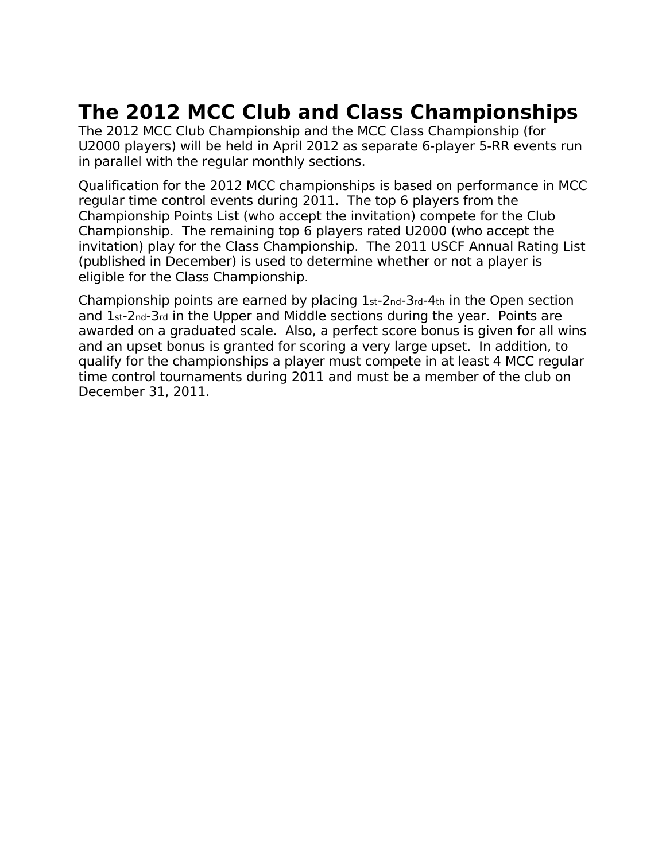## **The 2012 MCC Club and Class Championships**

The 2012 MCC Club Championship and the MCC Class Championship (for U2000 players) will be held in April 2012 as separate 6-player 5-RR events run in parallel with the regular monthly sections.

Qualification for the 2012 MCC championships is based on performance in MCC regular time control events during 2011. The top 6 players from the Championship Points List (who accept the invitation) compete for the Club Championship. The remaining top 6 players rated U2000 (who accept the invitation) play for the Class Championship. The 2011 USCF Annual Rating List (published in December) is used to determine whether or not a player is eligible for the Class Championship.

Championship points are earned by placing 1st-2nd-3rd-4th in the Open section and 1st-2nd-3rd in the Upper and Middle sections during the year. Points are awarded on a graduated scale. Also, a perfect score bonus is given for all wins and an upset bonus is granted for scoring a very large upset. In addition, to qualify for the championships a player must compete in at least 4 MCC regular time control tournaments during 2011 and must be a member of the club on December 31, 2011.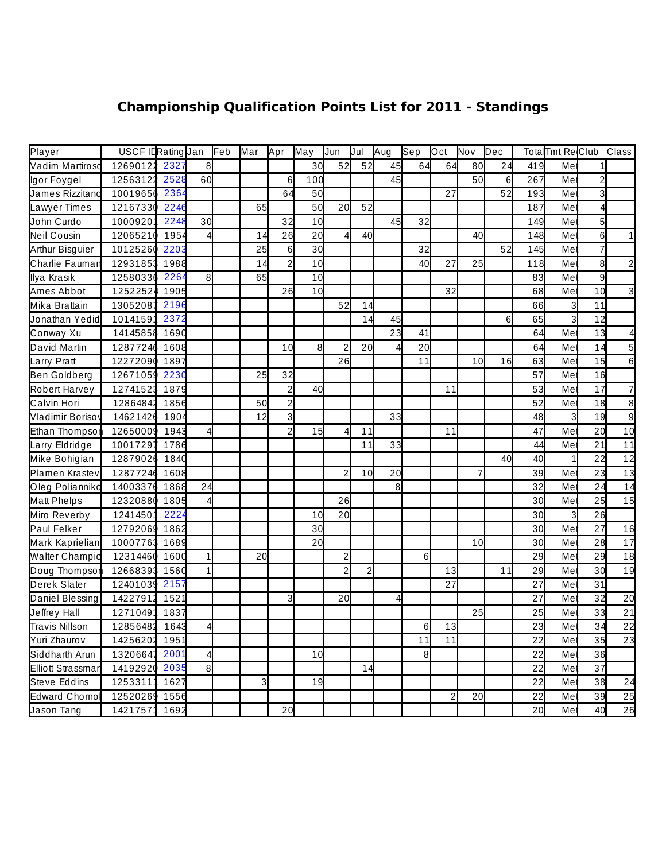## **Championship Qualification Points List for 2011 - Standings**

| Player                   | USCF IDRating Jan |      |              | Feb | Mar            | <b>Apr</b>              | May | Jun            | Jul            | Aug | Sep             | $\mathsf{Dct}$   | Nov | Dec |     |                | Tota Tmt Re Club Class |                 |
|--------------------------|-------------------|------|--------------|-----|----------------|-------------------------|-----|----------------|----------------|-----|-----------------|------------------|-----|-----|-----|----------------|------------------------|-----------------|
| Vadim Martiroso          | 12690122 2327     |      | 8            |     |                |                         | 30  | 52             | 52             | 45  | 64              | 64               | 80  | 24  | 419 | Me             |                        |                 |
| lgor Foygel              | 12563122 2528     |      | 60           |     |                | 6                       | 100 |                |                | 45  |                 |                  | 50  | 6   | 267 | Me             | $\overline{c}$         |                 |
| James Rizzitano          | 10019656          | 2364 |              |     |                | 64                      | 50  |                |                |     |                 | 27               |     | 52  | 193 | Me             | 3                      |                 |
| Lawyer Times             | 12167330          | 2246 |              |     | 65             |                         | 50  | 20             | 52             |     |                 |                  |     |     | 187 | Me             |                        |                 |
| John Curdo               | 10009201          | 2248 | 30           |     |                | 32                      | 10  |                |                | 45  | 32              |                  |     |     | 149 | Me             | 5                      |                 |
| Neil Cousin              | 12065210          | 1954 | 4            |     | 14             | 26                      | 20  | Δ              | 40             |     |                 |                  | 40  |     | 148 | Me             | 6                      |                 |
| Arthur Bisguier          | 10125260          | 2203 |              |     | 25             | $6 \overline{6}$        | 30  |                |                |     | 32              |                  |     | 52  | 145 | Me             | $\overline{7}$         |                 |
| Charlie Fauman           | 12931853 1988     |      |              |     | 14             | $\overline{2}$          | 10  |                |                |     | 40              | 27               | 25  |     | 118 | Me             | 8                      | 2               |
| Ilya Krasik              | 12580336          | 2264 | 8            |     | 65             |                         | 10  |                |                |     |                 |                  |     |     | 83  | Me             | 9                      |                 |
| Ames Abbot               | 12522524 1905     |      |              |     |                | 26                      | 10  |                |                |     |                 | 32               |     |     | 68  | Me             | 10                     | 3               |
| Mika Brattain            | 13052087          | 2196 |              |     |                |                         |     | 52             | 14             |     |                 |                  |     |     | 66  | $\overline{3}$ | 11                     |                 |
| Jonathan Yedid           | 10141591          | 2372 |              |     |                |                         |     |                | 14             | 45  |                 |                  |     | 6   | 65  | 3              | 12                     |                 |
| Conway Xu                | 14145858 1690     |      |              |     |                |                         |     |                |                | 23  | 41              |                  |     |     | 64  | Me             | 13                     |                 |
| David Martin             | 12877246 1608     |      |              |     |                | 10                      | 8   | 2              | 20             |     | 20              |                  |     |     | 64  | Me             | 14                     | 5               |
| Larry Pratt              | 12272090 1897     |      |              |     |                |                         |     | 26             |                |     | 11              |                  | 10  | 16  | 63  | Me             | 15                     | 6               |
| Ben Goldberg             | 12671059 2230     |      |              |     | 25             | 32                      |     |                |                |     |                 |                  |     |     | 57  | Me             | 16                     |                 |
| Robert Harvey            | 12741523          | 1879 |              |     |                | $\overline{\mathbf{c}}$ | 40  |                |                |     |                 | 11               |     |     | 53  | Me             | 17                     | 7               |
| Calvin Hori              | 12864842          | 1856 |              |     | 50             | $\overline{c}$          |     |                |                |     |                 |                  |     |     | 52  | Me             | 18                     | 8               |
| Vladimir Borisov         | 14621426          | 1904 |              |     | 12             | $\overline{3}$          |     |                |                | 33  |                 |                  |     |     | 48  | 3              | 19                     | $\overline{9}$  |
| Ethan Thompson           | 12650009 1943     |      |              |     |                | $\overline{2}$          | 15  | Δ              | 11             |     |                 | 11               |     |     | 47  | Me             | 20                     | 10              |
| Larry Eldridge           | 10017297          | 1786 |              |     |                |                         |     |                | 11             | 33  |                 |                  |     |     | 44  | Me             | 21                     | 11              |
| Mike Bohigian            | 12879026          | 1840 |              |     |                |                         |     |                |                |     |                 |                  |     | 40  | 40  | 1              | 22                     | 12              |
| Plamen Krastev           | 12877246 1608     |      |              |     |                |                         |     | $\overline{c}$ | 10             | 20  |                 |                  | 7   |     | 39  | Me             | 23                     | 13              |
| Oleg Polianniko          | 14003376          | 1868 | 24           |     |                |                         |     |                |                | 8   |                 |                  |     |     | 32  | Me             | 24                     | $\overline{14}$ |
| Matt Phelps              | 12320880 1805     |      |              |     |                |                         |     | 26             |                |     |                 |                  |     |     | 30  | Me             | 25                     | 15              |
| Miro Reverby             | 12414501          | 2224 |              |     |                |                         | 10  | 20             |                |     |                 |                  |     |     | 30  | $\overline{3}$ | 26                     |                 |
| Paul Felker              | 12792069 1862     |      |              |     |                |                         | 30  |                |                |     |                 |                  |     |     | 30  | Me             | 27                     | 16              |
| Mark Kaprielian          | 10007763 1689     |      |              |     |                |                         | 20  |                |                |     |                 |                  | 10  |     | 30  | Me             | 28                     | 17              |
| <b>Walter Champio</b>    | 12314460 1600     |      | $\mathbf{1}$ |     | 20             |                         |     | $\overline{c}$ |                |     | $6 \overline{}$ |                  |     |     | 29  | Me             | 29                     | 18              |
| Doug Thompson            | 12668393 1560     |      | $\mathbf{1}$ |     |                |                         |     | $\overline{c}$ | $\overline{2}$ |     |                 | 13               |     | 11  | 29  | Me             | 30                     | 19              |
| Derek Slater             | 12401039 2157     |      |              |     |                |                         |     |                |                |     |                 | 27               |     |     | 27  | Me             | 31                     |                 |
| Daniel Blessing          | 14227912          | 1521 |              |     |                | 3                       |     | 20             |                | 4   |                 |                  |     |     | 27  | Me             | 32                     | 20              |
| Jeffrey Hall             | 1271049           | 1837 |              |     |                |                         |     |                |                |     |                 |                  | 25  |     | 25  | Me             | 33                     | $\overline{21}$ |
| <b>Travis Nillson</b>    | 12856482 1643     |      | $\Delta$     |     |                |                         |     |                |                |     | 61              | 13               |     |     | 23  | Me             | 34                     | 22              |
| Yuri Zhaurov             | 14256202 1951     |      |              |     |                |                         |     |                |                |     | 11              | 11               |     |     | 22  | Me             | 35                     | 23              |
| Siddharth Arun           | 13206647          | 2001 |              |     |                |                         | 10  |                |                |     | 8               |                  |     |     | 22  | Me             | 36                     |                 |
| <b>Elliott Strassman</b> | 14192920 2035     |      | 8            |     |                |                         |     |                | 14             |     |                 |                  |     |     | 22  | Me             | 37                     |                 |
| Steve Eddins             | 12533111 1627     |      |              |     | $\overline{3}$ |                         | 19  |                |                |     |                 |                  |     |     | 22  | Me             | 38                     | 24              |
| Edward Chornol           | 12520269 1556     |      |              |     |                |                         |     |                |                |     |                 | $\boldsymbol{2}$ | 20  |     | 22  | Me             | 39                     | 25              |
| Jason Tang               | 14217571 1692     |      |              |     |                | 20                      |     |                |                |     |                 |                  |     |     | 20  | Me             | 40                     | 26              |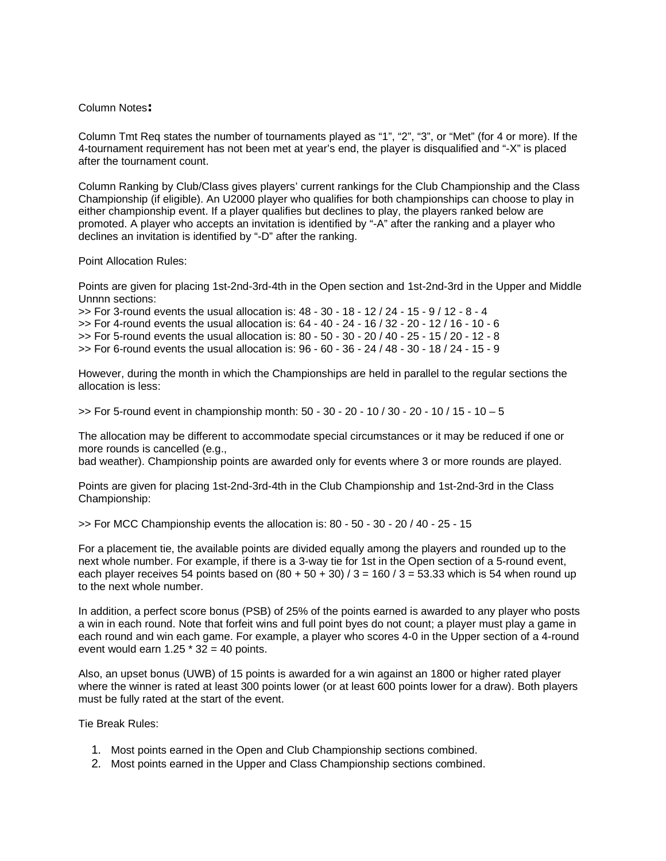## Column Notes**:**

Column Tmt Req states the number of tournaments played as "1", "2", "3", or "Met" (for 4 or more). If the 4-tournament requirement has not been met at year's end, the player is disqualified and "-X" is placed after the tournament count.

Column Ranking by Club/Class gives players' current rankings for the Club Championship and the Class Championship (if eligible). An U2000 player who qualifies for both championships can choose to play in either championship event. If a player qualifies but declines to play, the players ranked below are promoted. A player who accepts an invitation is identified by "-A" after the ranking and a player who declines an invitation is identified by "-D" after the ranking.

Point Allocation Rules:

Points are given for placing 1st-2nd-3rd-4th in the Open section and 1st-2nd-3rd in the Upper and Middle Unnnn sections:

>> For 3-round events the usual allocation is: 48 - 30 - 18 - 12 / 24 - 15 - 9 / 12 - 8 - 4 >> For 4-round events the usual allocation is: 64 - 40 - 24 - 16 / 32 - 20 - 12 / 16 - 10 - 6 >> For 5-round events the usual allocation is: 80 - 50 - 30 - 20 / 40 - 25 - 15 / 20 - 12 - 8 >> For 6-round events the usual allocation is: 96 - 60 - 36 - 24 / 48 - 30 - 18 / 24 - 15 - 9

However, during the month in which the Championships are held in parallel to the regular sections the allocation is less:

 $\ge$  For 5-round event in championship month: 50 - 30 - 20 - 10 / 30 - 20 - 10 / 15 - 10 - 5

The allocation may be different to accommodate special circumstances or it may be reduced if one or more rounds is cancelled (e.g.,

bad weather). Championship points are awarded only for events where 3 or more rounds are played.

Points are given for placing 1st-2nd-3rd-4th in the Club Championship and 1st-2nd-3rd in the Class Championship:

 $\ge$  For MCC Championship events the allocation is: 80 - 50 - 30 - 20 / 40 - 25 - 15

For a placement tie, the available points are divided equally among the players and rounded up to the next whole number. For example, if there is a 3-way tie for 1st in the Open section of a 5-round event, each player receives 54 points based on  $(80 + 50 + 30)$  / 3 = 160 / 3 = 53.33 which is 54 when round up to the next whole number.

In addition, a perfect score bonus (PSB) of 25% of the points earned is awarded to any player who posts a win in each round. Note that forfeit wins and full point byes do not count; a player must play a game in each round and win each game. For example, a player who scores 4-0 in the Upper section of a 4-round event would earn  $1.25 * 32 = 40$  points.

Also, an upset bonus (UWB) of 15 points is awarded for a win against an 1800 or higher rated player where the winner is rated at least 300 points lower (or at least 600 points lower for a draw). Both players must be fully rated at the start of the event.

Tie Break Rules:

- 1. Most points earned in the Open and Club Championship sections combined.
- 2. Most points earned in the Upper and Class Championship sections combined.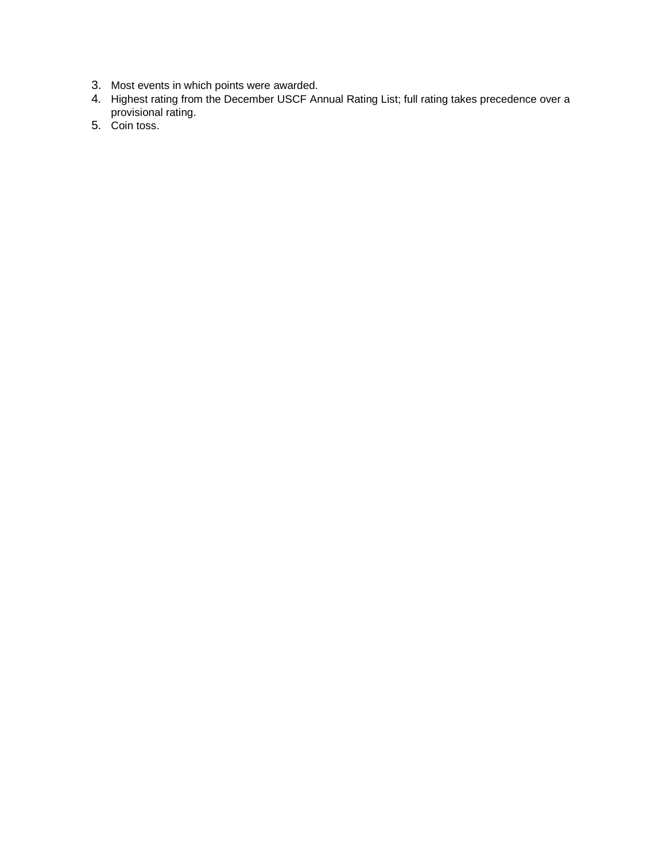- 3. Most events in which points were awarded.
- 4. Highest rating from the December USCF Annual Rating List; full rating takes precedence over a provisional rating.
- 5. Coin toss.